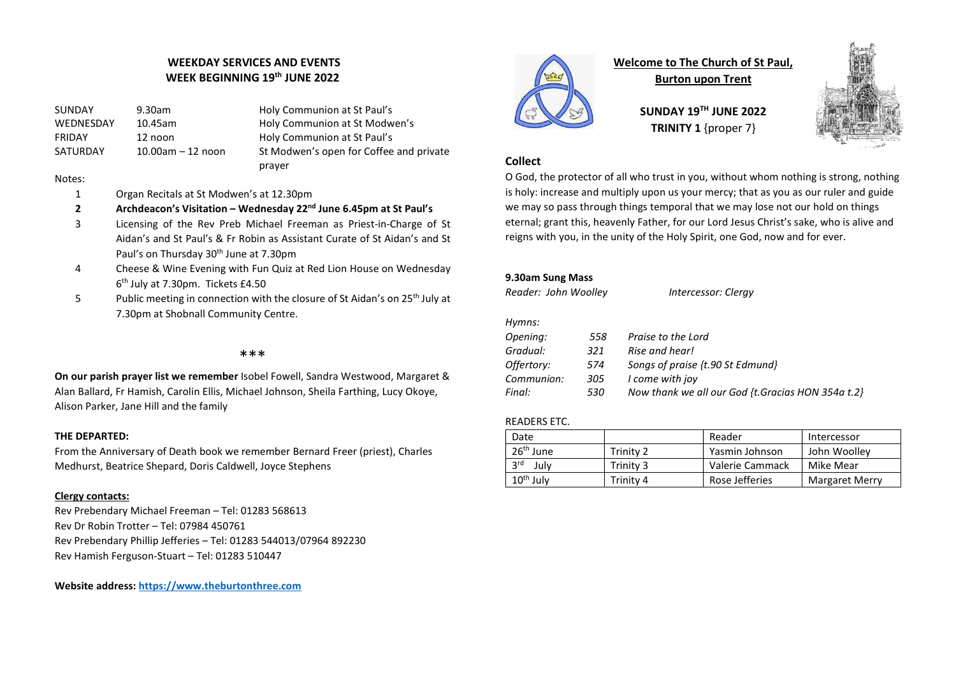# WEEKDAY SERVICES AND EVENTS WEEK BEGINNING 19<sup>th</sup> JUNE 2022

SUNDAY 9.30am Holy Communion at St Paul's WEDNESDAY 10.45am Holy Communion at St Modwen's FRIDAY 12 noon Holy Communion at St Paul's SATURDAY 10.00am – 12 noon St Modwen's open for Coffee and private prayer

## Notes:

- 1 Organ Recitals at St Modwen's at 12.30pm
- 2 Archdeacon's Visitation Wednesday  $22<sup>nd</sup>$  June 6.45pm at St Paul's
- 3 Licensing of the Rev Preb Michael Freeman as Priest-in-Charge of St Aidan's and St Paul's & Fr Robin as Assistant Curate of St Aidan's and St Paul's on Thursday 30<sup>th</sup> June at 7.30pm
- 4 Cheese & Wine Evening with Fun Quiz at Red Lion House on Wednesday 6 th July at 7.30pm. Tickets £4.50
- 5 Public meeting in connection with the closure of St Aidan's on 25<sup>th</sup> July at 7.30pm at Shobnall Community Centre.

## \*\*\*

On our parish prayer list we remember Isobel Fowell, Sandra Westwood, Margaret & Alan Ballard, Fr Hamish, Carolin Ellis, Michael Johnson, Sheila Farthing, Lucy Okoye, Alison Parker, Jane Hill and the family

### THE DEPARTED:

From the Anniversary of Death book we remember Bernard Freer (priest), Charles Medhurst, Beatrice Shepard, Doris Caldwell, Joyce Stephens

## Clergy contacts:

Rev Prebendary Michael Freeman – Tel: 01283 568613 Rev Dr Robin Trotter – Tel: 07984 450761 Rev Prebendary Phillip Jefferies – Tel: 01283 544013/07964 892230 Rev Hamish Ferguson-Stuart – Tel: 01283 510447

Website address: https://www.theburtonthree.com



Welcome to The Church of St Paul,

Burton upon Trent

SUNDAY 19TH JUNE 2022 TRINITY 1 {proper 7}



# **Collect**

O God, the protector of all who trust in you, without whom nothing is strong, nothing is holy: increase and multiply upon us your mercy; that as you as our ruler and guide we may so pass through things temporal that we may lose not our hold on things eternal; grant this, heavenly Father, for our Lord Jesus Christ's sake, who is alive and reigns with you, in the unity of the Holy Spirit, one God, now and for ever.

# 9.30am Sung Mass

| Reader: John Woolley |     | Intercessor: Clergy                               |
|----------------------|-----|---------------------------------------------------|
| Hymns:               |     |                                                   |
| Opening:             | 558 | Praise to the Lord                                |
| Gradual:             | 321 | Rise and hear!                                    |
| Offertory:           | 574 | Songs of praise {t.90 St Edmund}                  |
| Communion:           | 305 | I come with joy                                   |
| Final:               | 530 | Now thank we all our God {t.Gracias HON 354a t.2} |

## READERS ETC.

| Date                  |           | Reader          | Intercessor           |
|-----------------------|-----------|-----------------|-----------------------|
| 26 <sup>th</sup> June | Trinity 2 | Yasmin Johnson  | John Woollev          |
| <b>2rd</b><br>Julv    | Trinity 3 | Valerie Cammack | Mike Mear             |
| $10th$ July           | Trinity 4 | Rose Jefferies  | <b>Margaret Merry</b> |